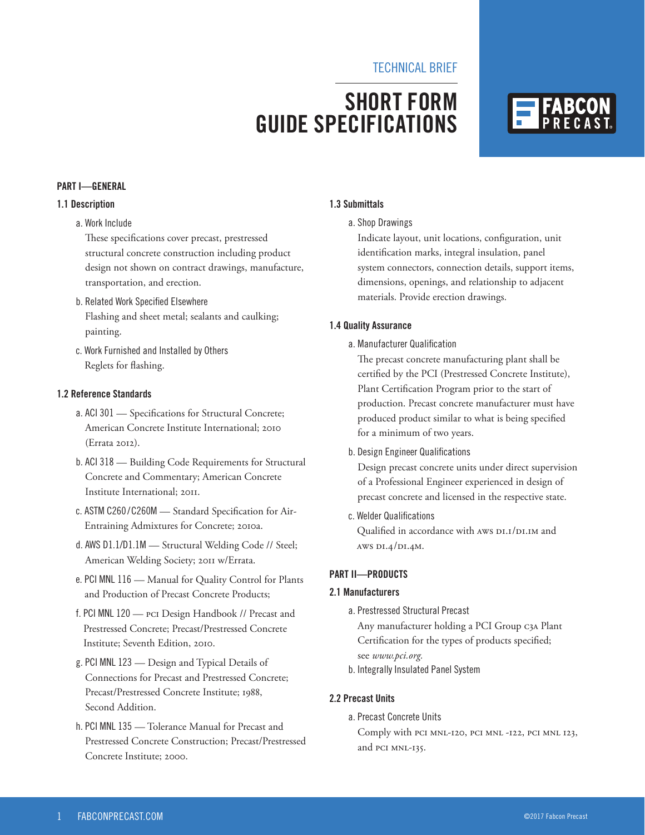## TECHNICAL BRIEF

# **SHORT FORM GUIDE SPECIFICATIONS**



#### **PART I—GENERAL**

## **1.1 Description**

#### a. Work Include

These specifications cover precast, prestressed structural concrete construction including product design not shown on contract drawings, manufacture, transportation, and erection.

- b. Related Work Specified Elsewhere Flashing and sheet metal; sealants and caulking; painting.
- c. Work Furnished and Installed by Others Reglets for flashing.

#### **1.2 Reference Standards**

- a. ACI 301 Specifications for Structural Concrete; American Concrete Institute International; 2010 (Errata 2012).
- b. ACI 318 Building Code Requirements for Structural Concrete and Commentary; American Concrete Institute International; 2011.
- c. ASTM C260 /C260M Standard Specification for Air-Entraining Admixtures for Concrete; 2010a.
- d. AWS D1.1/D1.1M Structural Welding Code // Steel; American Welding Society; 2011 w/Errata.
- e. PCI MNL 116 Manual for Quality Control for Plants and Production of Precast Concrete Products;
- f. PCI MNL 120 PCI Design Handbook // Precast and Prestressed Concrete; Precast/Prestressed Concrete Institute; Seventh Edition, 2010.
- g. PCI MNL 123 Design and Typical Details of Connections for Precast and Prestressed Concrete; Precast/Prestressed Concrete Institute; 1988, Second Addition.
- h. PCI MNL 135 Tolerance Manual for Precast and Prestressed Concrete Construction; Precast/Prestressed Concrete Institute; 2000.

#### **1.3 Submittals**

#### a. Shop Drawings

Indicate layout, unit locations, configuration, unit identification marks, integral insulation, panel system connectors, connection details, support items, dimensions, openings, and relationship to adjacent materials. Provide erection drawings.

#### **1.4 Quality Assurance**

a. Manufacturer Qualification

The precast concrete manufacturing plant shall be certified by the PCI (Prestressed Concrete Institute), Plant Certification Program prior to the start of production. Precast concrete manufacturer must have produced product similar to what is being specified for a minimum of two years.

#### b. Design Engineer Qualifications

Design precast concrete units under direct supervision of a Professional Engineer experienced in design of precast concrete and licensed in the respective state.

c. Welder Qualifications

Qualified in accordance with AWS D1.1/D1.1M and AWS D1.4/D1.4M.

### **PART II—PRODUCTS**

#### **2.1 Manufacturers**

a. Prestressed Structural Precast

Any manufacturer holding a PCI Group C3A Plant Certification for the types of products specified; see *www.pci.org.*

b. Integrally Insulated Panel System

#### **2.2 Precast Units**

a. Precast Concrete Units

Comply with PCI MNL-120, PCI MNL -122, PCI MNL 123, and PCI MNL-135.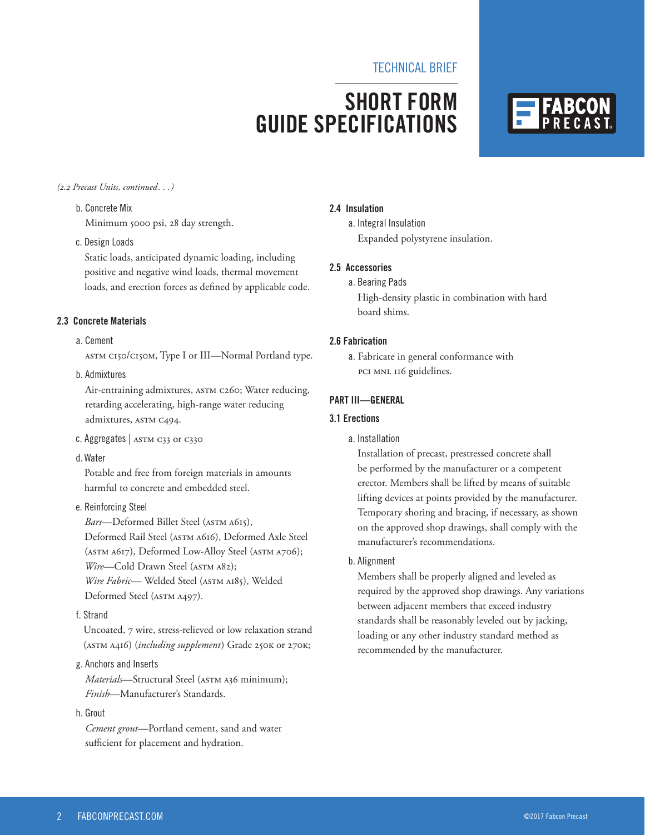## TECHNICAL BRIEF

# **SHORT FORM GUIDE SPECIFICATIONS**



#### *(2.2 Precast Units, continued. . .)*

# b. Concrete Mix

Minimum 5000 psi, 28 day strength.

#### c. Design Loads

Static loads, anticipated dynamic loading, including positive and negative wind loads, thermal movement loads, and erection forces as defined by applicable code.

#### **2.3 Concrete Materials**

#### a. Cement

ASTM C150/C150M, Type I or III—Normal Portland type.

#### b. Admixtures

Air-entraining admixtures, ASTM C260; Water reducing, retarding accelerating, high-range water reducing admixtures, ASTM C494.

#### c. Aggregates | ASTM C33 or C330

d. Water

Potable and free from foreign materials in amounts harmful to concrete and embedded steel.

### e. Reinforcing Steel

*Bars*—Deformed Billet Steel (ASTM A615), Deformed Rail Steel (ASTM A616), Deformed Axle Steel (ASTM A617), Deformed Low-Alloy Steel (ASTM A706); *Wire*—Cold Drawn Steel (ASTM A82); *Wire Fabric*— Welded Steel (ASTM A185), Welded

Deformed Steel (ASTM A497).

#### f. Strand

Uncoated, 7 wire, stress-relieved or low relaxation strand (ASTM A416) (*including supplement*) Grade 250K or 270K;

#### g. Anchors and Inserts

*Materials*—Structural Steel (ASTM A36 minimum); *Finish*—Manufacturer's Standards.

#### h. Grout

*Cement grout*—Portland cement, sand and water sufficient for placement and hydration.

#### **2.4 Insulation**

a. Integral Insulation Expanded polystyrene insulation.

#### **2.5 Accessories**

a. Bearing Pads

High-density plastic in combination with hard board shims.

#### **2.6 Fabrication**

a. Fabricate in general conformance with PCI MNL 116 guidelines.

#### **PART III—GENERAL**

#### **3.1 Erections**

a. Installation

Installation of precast, prestressed concrete shall be performed by the manufacturer or a competent erector. Members shall be lifted by means of suitable lifting devices at points provided by the manufacturer. Temporary shoring and bracing, if necessary, as shown on the approved shop drawings, shall comply with the manufacturer's recommendations.

#### b. Alignment

Members shall be properly aligned and leveled as required by the approved shop drawings. Any variations between adjacent members that exceed industry standards shall be reasonably leveled out by jacking, loading or any other industry standard method as recommended by the manufacturer.